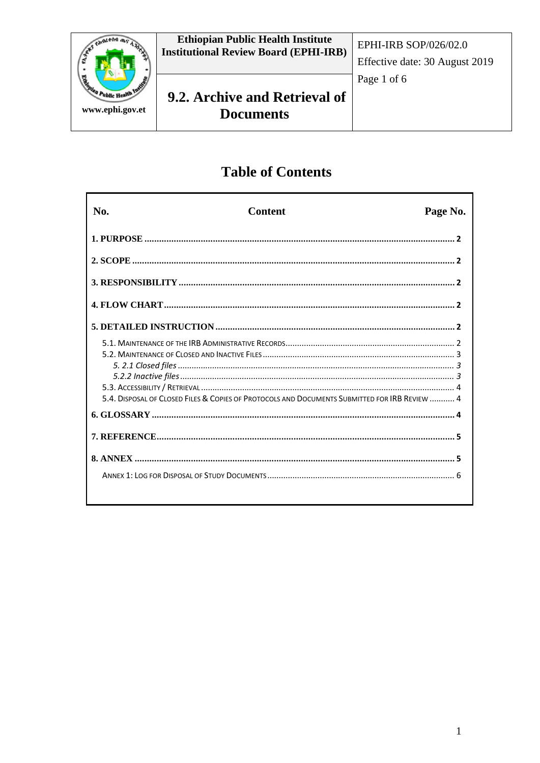

# **Table of Contents**

| No. | Content                                                                                       | Page No. |
|-----|-----------------------------------------------------------------------------------------------|----------|
|     |                                                                                               |          |
|     |                                                                                               |          |
|     |                                                                                               |          |
|     |                                                                                               |          |
|     |                                                                                               |          |
|     | 5.4. DISPOSAL OF CLOSED FILES & COPIES OF PROTOCOLS AND DOCUMENTS SUBMITTED FOR IRB REVIEW  4 |          |
|     |                                                                                               |          |
|     |                                                                                               |          |
|     |                                                                                               |          |
|     |                                                                                               |          |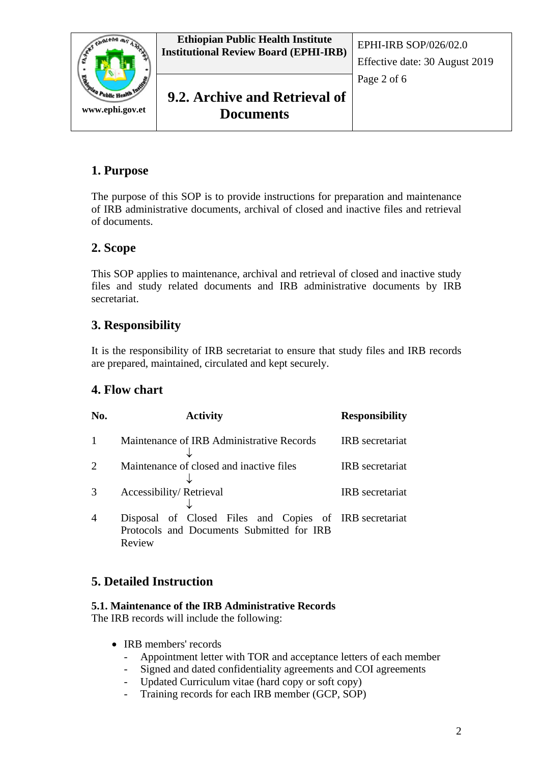

## **1. Purpose**

The purpose of this SOP is to provide instructions for preparation and maintenance of IRB administrative documents, archival of closed and inactive files and retrieval of documents.

## **2. Scope**

This SOP applies to maintenance, archival and retrieval of closed and inactive study files and study related documents and IRB administrative documents by IRB secretariat.

## **3. Responsibility**

It is the responsibility of IRB secretariat to ensure that study files and IRB records are prepared, maintained, circulated and kept securely.

### **4. Flow chart**

| No.                         | <b>Activity</b>                                                                                               | <b>Responsibility</b>  |  |
|-----------------------------|---------------------------------------------------------------------------------------------------------------|------------------------|--|
|                             | Maintenance of IRB Administrative Records                                                                     | <b>IRB</b> secretariat |  |
| $\mathcal{D}_{\mathcal{A}}$ | Maintenance of closed and inactive files                                                                      | <b>IRB</b> secretariat |  |
|                             | Accessibility/Retrieval                                                                                       | <b>IRB</b> secretariat |  |
| 4                           | Disposal of Closed Files and Copies of IRB secretariat<br>Protocols and Documents Submitted for IRB<br>Review |                        |  |

## **5. Detailed Instruction**

### **5.1. Maintenance of the IRB Administrative Records**

The IRB records will include the following:

- IRB members' records
	- Appointment letter with TOR and acceptance letters of each member
	- Signed and dated confidentiality agreements and COI agreements
	- Updated Curriculum vitae (hard copy or soft copy)
	- Training records for each IRB member (GCP, SOP)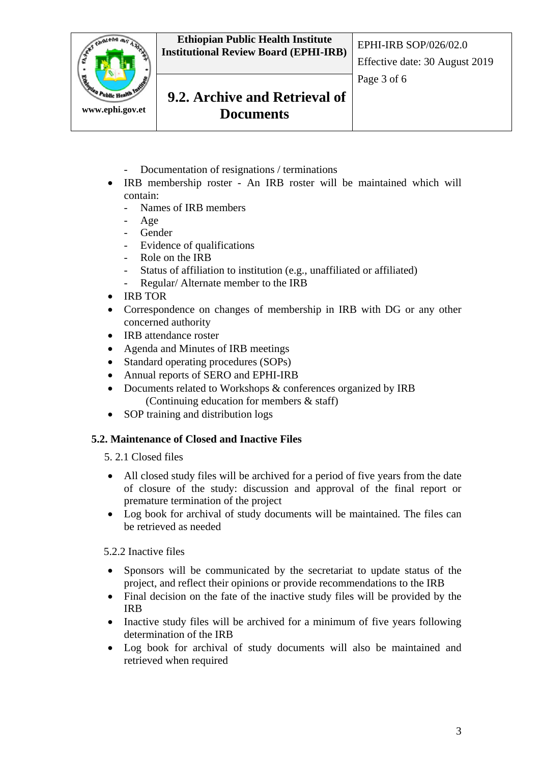**Ethiopian Public Health Institute Institutional Review Board (EPHI-IRB)** EPHI-IRB SOP/026/02.0



## **9.2. Archive and Retrieval of Documents**

- Documentation of resignations / terminations
- IRB membership roster An IRB roster will be maintained which will contain:
	- Names of IRB members
	- Age
	- Gender
	- Evidence of qualifications
	- Role on the IRB
	- Status of affiliation to institution (e.g., unaffiliated or affiliated)
	- Regular/ Alternate member to the IRB
- IRB TOR
- Correspondence on changes of membership in IRB with DG or any other concerned authority
- IRB attendance roster
- Agenda and Minutes of IRB meetings
- Standard operating procedures (SOPs)
- Annual reports of SERO and EPHI-IRB
- Documents related to Workshops & conferences organized by IRB (Continuing education for members & staff)
- SOP training and distribution logs

#### **5.2. Maintenance of Closed and Inactive Files**

- 5. 2.1 Closed files
- All closed study files will be archived for a period of five years from the date of closure of the study: discussion and approval of the final report or premature termination of the project
- Log book for archival of study documents will be maintained. The files can be retrieved as needed

5.2.2 Inactive files

- Sponsors will be communicated by the secretariat to update status of the project, and reflect their opinions or provide recommendations to the IRB
- Final decision on the fate of the inactive study files will be provided by the IRB
- Inactive study files will be archived for a minimum of five years following determination of the IRB
- Log book for archival of study documents will also be maintained and retrieved when required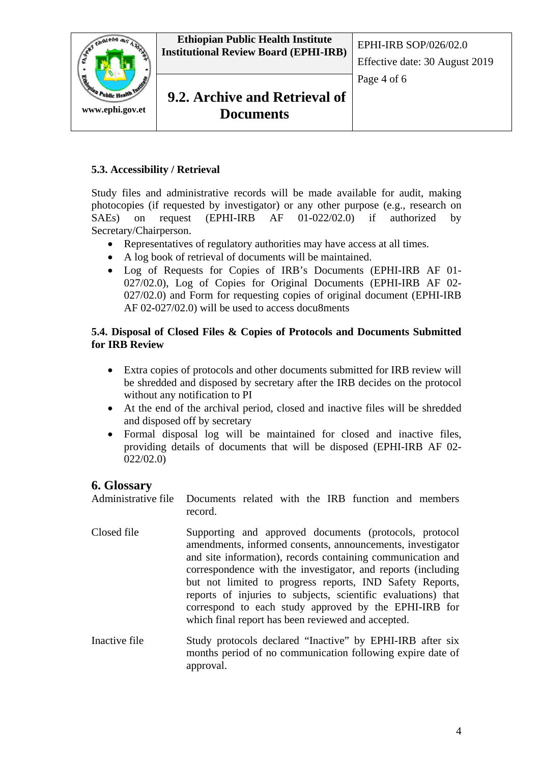



Page 4 of 6

### **5.3. Accessibility / Retrieval**

Study files and administrative records will be made available for audit, making photocopies (if requested by investigator) or any other purpose (e.g., research on SAEs) on request (EPHI-IRB AF 01-022/02.0) if authorized by Secretary/Chairperson.

- Representatives of regulatory authorities may have access at all times.
- A log book of retrieval of documents will be maintained.
- Log of Requests for Copies of IRB's Documents (EPHI-IRB AF 01- 027/02.0), Log of Copies for Original Documents (EPHI-IRB AF 02- 027/02.0) and Form for requesting copies of original document (EPHI-IRB AF 02-027/02.0) will be used to access docu8ments

### **5.4. Disposal of Closed Files & Copies of Protocols and Documents Submitted for IRB Review**

- Extra copies of protocols and other documents submitted for IRB review will be shredded and disposed by secretary after the IRB decides on the protocol without any notification to PI
- At the end of the archival period, closed and inactive files will be shredded and disposed off by secretary
- Formal disposal log will be maintained for closed and inactive files, providing details of documents that will be disposed (EPHI-IRB AF 02- 022/02.0)

### **6. Glossary**

Administrative file Documents related with the IRB function and members record.

- Closed file Supporting and approved documents (protocols, protocol amendments, informed consents, announcements, investigator and site information), records containing communication and correspondence with the investigator, and reports (including but not limited to progress reports, IND Safety Reports, reports of injuries to subjects, scientific evaluations) that correspond to each study approved by the EPHI-IRB for which final report has been reviewed and accepted.
- Inactive file Study protocols declared "Inactive" by EPHI-IRB after six months period of no communication following expire date of approval.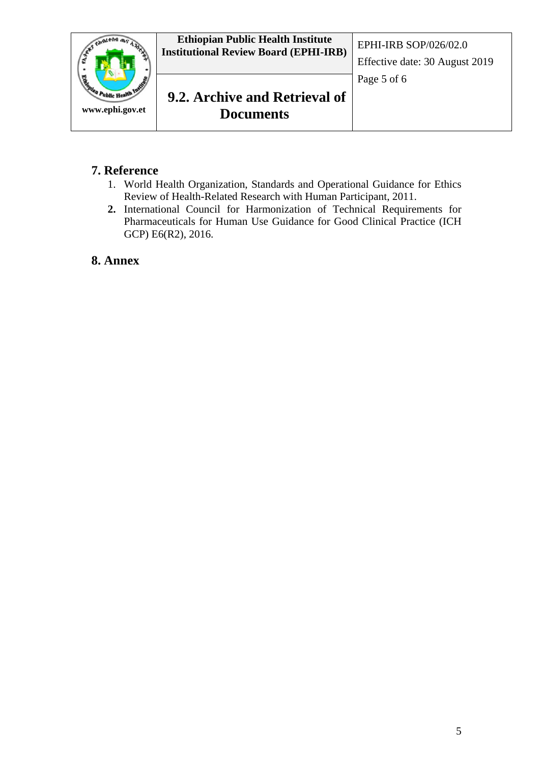

## **7. Reference**

- 1. World Health Organization, Standards and Operational Guidance for Ethics Review of Health-Related Research with Human Participant, 2011.
- **2.** International Council for Harmonization of Technical Requirements for Pharmaceuticals for Human Use Guidance for Good Clinical Practice (ICH GCP) E6(R2), 2016.

### **8. Annex**